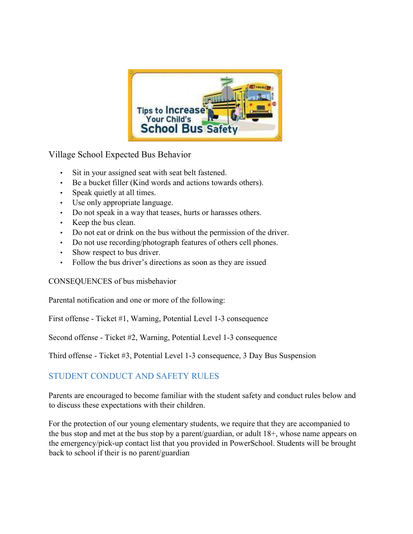

Village School Expected Bus Behavior

- Sit in your assigned seat with seat belt fastened.
- Be a bucket filler (Kind words and actions towards others).
- Speak quietly at all times.
- Use only appropriate language.
- Do not speak in a way that teases, hurts or harasses others.
- Keep the bus clean.
- Do not eat or drink on the bus without the permission of the driver.
- Do not use recording/photograph features of others cell phones.
- Show respect to bus driver.
- Follow the bus driver's directions as soon as they are issued

CONSEQUENCES of bus misbehavior

Parental notification and one or more of the following:

First offense - Ticket #1, Warning, Potential Level 1-3 consequence

Second offense - Ticket #2, Warning, Potential Level 1-3 consequence

Third offense - Ticket #3, Potential Level 1-3 consequence, 3 Day Bus Suspension

## STUDENT CONDUCT AND SAFETY RULES

Parents are encouraged to become familiar with the student safety and conduct rules below and to discuss these expectations with their children.

For the protection of our young elementary students, we require that they are accompanied to the bus stop and met at the bus stop by a parent/guardian, or adult 18+, whose name appears on the emergency/pick-up contact list that you provided in PowerSchool. Students will be brought back to school if their is no parent/guardian